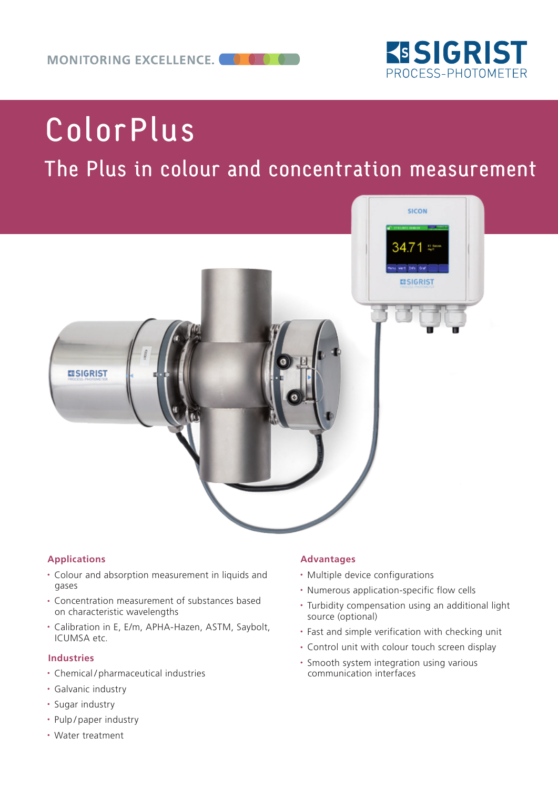

# ColorPlus

# The Plus in colour and concentration measurement



#### **Applications**

- Colour and absorption measurement in liquids and gases
- Concentration measurement of substances based on characteristic wavelengths
- Calibration in E, E/m, APHA-Hazen, ASTM, Saybolt, ICUMSA etc.

#### **Industries**

- Chemical / pharmaceutical industries
- Galvanic industry
- Sugar industry
- Pulp / paper industry
- Water treatment

#### **Advantages**

- Multiple device configurations
- Numerous application-specific flow cells
- Turbidity compensation using an additional light source (optional)
- Fast and simple verification with checking unit
- Control unit with colour touch screen display
- Smooth system integration using various communication interfaces